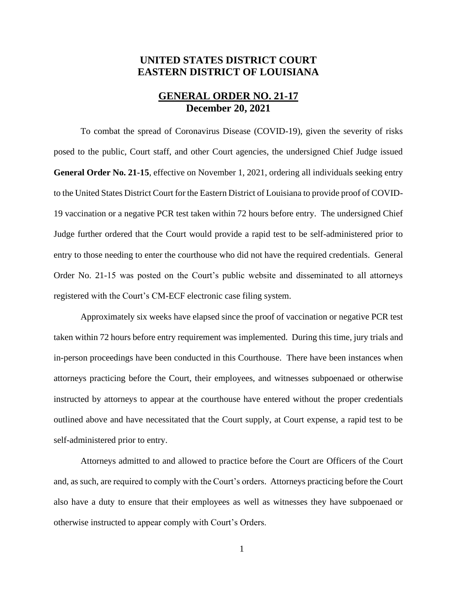# **UNITED STATES DISTRICT COURT EASTERN DISTRICT OF LOUISIANA**

## **GENERAL ORDER NO. 21-17 December 20, 2021**

To combat the spread of Coronavirus Disease (COVID-19), given the severity of risks posed to the public, Court staff, and other Court agencies, the undersigned Chief Judge issued **General Order No. 21-15**, effective on November 1, 2021, ordering all individuals seeking entry to the United States District Court for the Eastern District of Louisiana to provide proof of COVID-19 vaccination or a negative PCR test taken within 72 hours before entry. The undersigned Chief Judge further ordered that the Court would provide a rapid test to be self-administered prior to entry to those needing to enter the courthouse who did not have the required credentials. General Order No. 21-15 was posted on the Court's public website and disseminated to all attorneys registered with the Court's CM-ECF electronic case filing system.

Approximately six weeks have elapsed since the proof of vaccination or negative PCR test taken within 72 hours before entry requirement was implemented. During this time, jury trials and in-person proceedings have been conducted in this Courthouse. There have been instances when attorneys practicing before the Court, their employees, and witnesses subpoenaed or otherwise instructed by attorneys to appear at the courthouse have entered without the proper credentials outlined above and have necessitated that the Court supply, at Court expense, a rapid test to be self-administered prior to entry.

Attorneys admitted to and allowed to practice before the Court are Officers of the Court and, as such, are required to comply with the Court's orders. Attorneys practicing before the Court also have a duty to ensure that their employees as well as witnesses they have subpoenaed or otherwise instructed to appear comply with Court's Orders.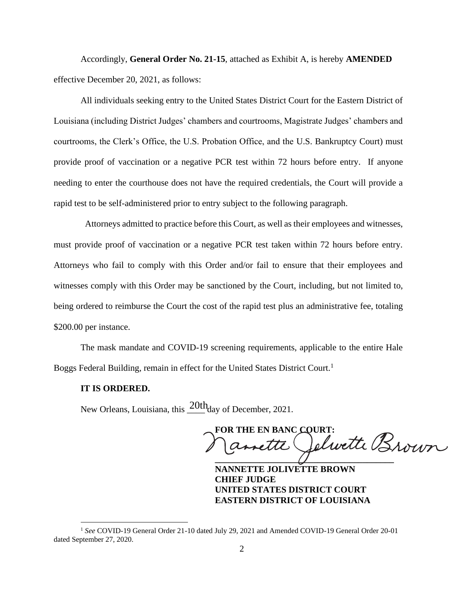Accordingly, **General Order No. 21-15**, attached as Exhibit A, is hereby **AMENDED** effective December 20, 2021, as follows:

All individuals seeking entry to the United States District Court for the Eastern District of Louisiana (including District Judges' chambers and courtrooms, Magistrate Judges' chambers and courtrooms, the Clerk's Office, the U.S. Probation Office, and the U.S. Bankruptcy Court) must provide proof of vaccination or a negative PCR test within 72 hours before entry. If anyone needing to enter the courthouse does not have the required credentials, the Court will provide a rapid test to be self-administered prior to entry subject to the following paragraph.

 Attorneys admitted to practice before this Court, as well as their employees and witnesses, must provide proof of vaccination or a negative PCR test taken within 72 hours before entry. Attorneys who fail to comply with this Order and/or fail to ensure that their employees and witnesses comply with this Order may be sanctioned by the Court, including, but not limited to, being ordered to reimburse the Court the cost of the rapid test plus an administrative fee, totaling \$200.00 per instance.

The mask mandate and COVID-19 screening requirements, applicable to the entire Hale Boggs Federal Building, remain in effect for the United States District Court.<sup>1</sup>

#### **IT IS ORDERED.**

New Orleans, Louisiana, this  $\frac{20th}{\text{day}}$  of December, 2021.

FOR THE EN BANC COURT:<br>Camette Celwette Brown **\_\_\_\_\_\_\_\_\_\_\_\_\_\_\_\_\_\_\_\_\_\_\_\_\_\_\_\_\_\_\_\_\_\_\_\_\_\_\_\_**

**NANNETTE JOLIVETTE BROWN CHIEF JUDGE UNITED STATES DISTRICT COURT EASTERN DISTRICT OF LOUISIANA**

<sup>1</sup> *See* COVID-19 General Order 21-10 dated July 29, 2021 and Amended COVID-19 General Order 20-01 dated September 27, 2020.